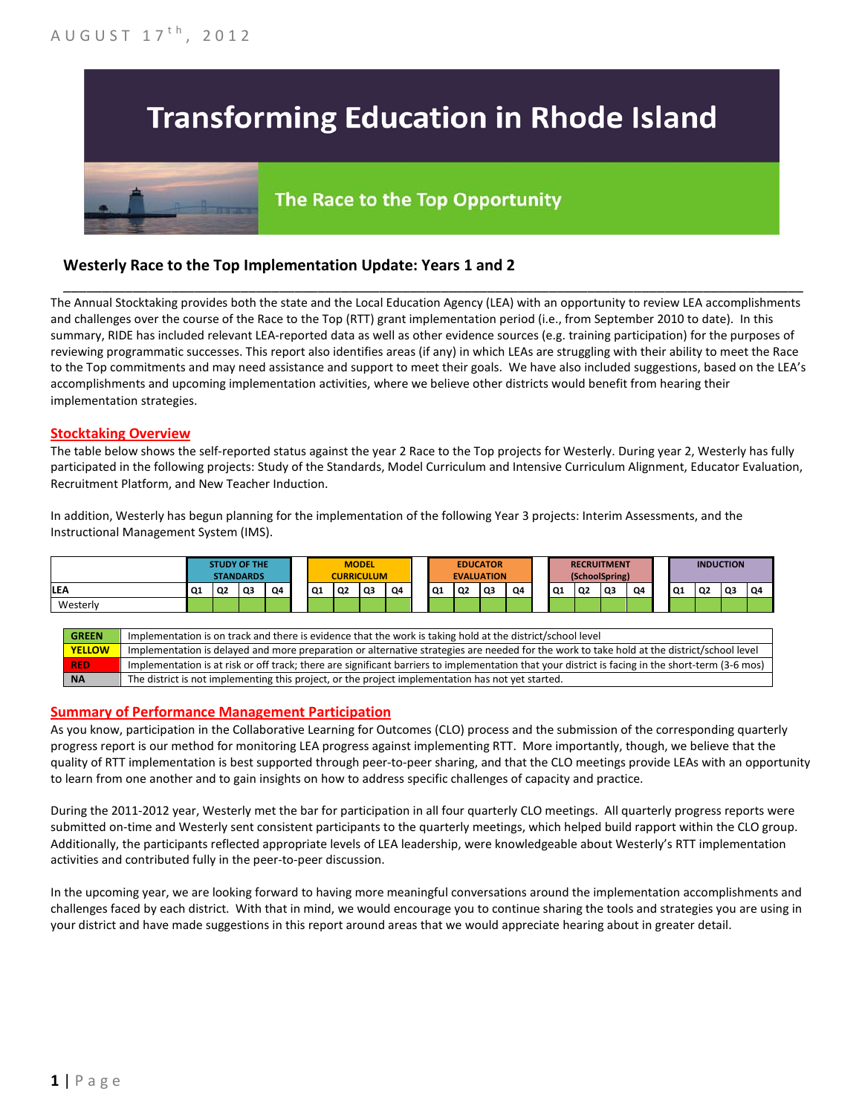# **Transforming Education in Rhode Island**

# The Race to the Top Opportunity

### **Westerly Race to the Top Implementation Update: Years 1 and 2**

The Annual Stocktaking provides both the state and the Local Education Agency (LEA) with an opportunity to review LEA accomplishments and challenges over the course of the Race to the Top (RTT) grant implementation period (i.e., from September 2010 to date). In this summary, RIDE has included relevant LEA-reported data as well as other evidence sources (e.g. training participation) for the purposes of reviewing programmatic successes. This report also identifies areas (if any) in which LEAs are struggling with their ability to meet the Race to the Top commitments and may need assistance and support to meet their goals. We have also included suggestions, based on the LEA's accomplishments and upcoming implementation activities, where we believe other districts would benefit from hearing their implementation strategies.

\_\_\_\_\_\_\_\_\_\_\_\_\_\_\_\_\_\_\_\_\_\_\_\_\_\_\_\_\_\_\_\_\_\_\_\_\_\_\_\_\_\_\_\_\_\_\_\_\_\_\_\_\_\_\_\_\_\_\_\_\_\_\_\_\_\_\_\_\_\_\_\_\_\_\_\_\_\_\_\_\_\_\_\_\_\_\_\_\_\_\_\_\_\_\_\_

#### **Stocktaking Overview**

The table below shows the self-reported status against the year 2 Race to the Top projects for Westerly. During year 2, Westerly has fully participated in the following projects: Study of the Standards, Model Curriculum and Intensive Curriculum Alignment, Educator Evaluation, Recruitment Platform, and New Teacher Induction.

In addition, Westerly has begun planning for the implementation of the following Year 3 projects: Interim Assessments, and the Instructional Management System (IMS).



#### **Summary of Performance Management Participation**

As you know, participation in the Collaborative Learning for Outcomes (CLO) process and the submission of the corresponding quarterly progress report is our method for monitoring LEA progress against implementing RTT. More importantly, though, we believe that the quality of RTT implementation is best supported through peer-to-peer sharing, and that the CLO meetings provide LEAs with an opportunity to learn from one another and to gain insights on how to address specific challenges of capacity and practice.

During the 2011-2012 year, Westerly met the bar for participation in all four quarterly CLO meetings. All quarterly progress reports were submitted on-time and Westerly sent consistent participants to the quarterly meetings, which helped build rapport within the CLO group. Additionally, the participants reflected appropriate levels of LEA leadership, were knowledgeable about Westerly's RTT implementation activities and contributed fully in the peer-to-peer discussion.

In the upcoming year, we are looking forward to having more meaningful conversations around the implementation accomplishments and challenges faced by each district. With that in mind, we would encourage you to continue sharing the tools and strategies you are using in your district and have made suggestions in this report around areas that we would appreciate hearing about in greater detail.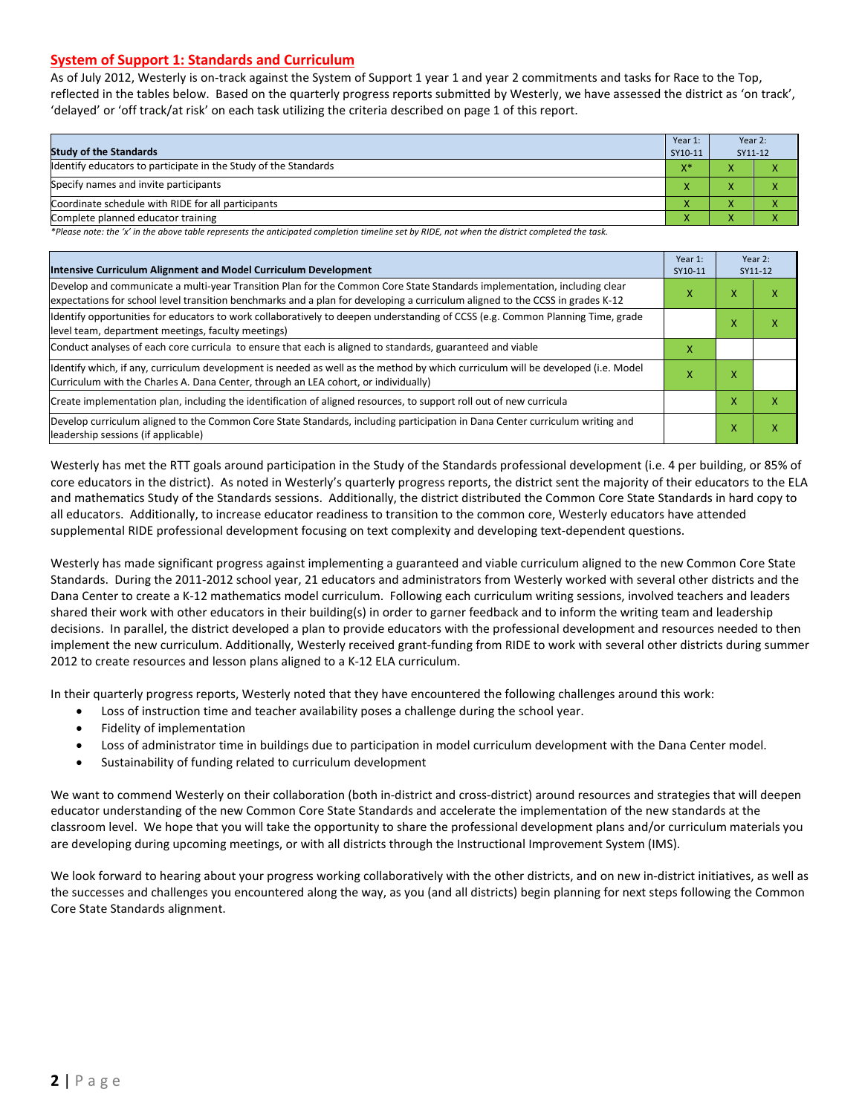#### **System of Support 1: Standards and Curriculum**

As of July 2012, Westerly is on-track against the System of Support 1 year 1 and year 2 commitments and tasks for Race to the Top, reflected in the tables below. Based on the quarterly progress reports submitted by Westerly, we have assessed the district as 'on track', 'delayed' or 'off track/at risk' on each task utilizing the criteria described on page 1 of this report.

| <b>Study of the Standards</b>                                   | Year 1:<br>SY10-11 | Year 2:<br>SY11-12 |  |
|-----------------------------------------------------------------|--------------------|--------------------|--|
| Identify educators to participate in the Study of the Standards | $X^*$              |                    |  |
| Specify names and invite participants                           |                    |                    |  |
| Coordinate schedule with RIDE for all participants              |                    | $\mathbf{\Lambda}$ |  |
| Complete planned educator training                              | Λ                  | $\mathbf{\Lambda}$ |  |

*\*Please note: the 'x' in the above table represents the anticipated completion timeline set by RIDE, not when the district completed the task.*

| Intensive Curriculum Alignment and Model Curriculum Development                                                                                                                                                                                           |  |   | Year 2:<br>SY11-12 |
|-----------------------------------------------------------------------------------------------------------------------------------------------------------------------------------------------------------------------------------------------------------|--|---|--------------------|
| Develop and communicate a multi-year Transition Plan for the Common Core State Standards implementation, including clear<br>expectations for school level transition benchmarks and a plan for developing a curriculum aligned to the CCSS in grades K-12 |  |   | ↗                  |
| Identify opportunities for educators to work collaboratively to deepen understanding of CCSS (e.g. Common Planning Time, grade<br>level team, department meetings, faculty meetings)                                                                      |  |   | ⋏                  |
| Conduct analyses of each core curricula to ensure that each is aligned to standards, guaranteed and viable                                                                                                                                                |  |   |                    |
| ldentify which, if any, curriculum development is needed as well as the method by which curriculum will be developed (i.e. Model<br>Curriculum with the Charles A. Dana Center, through an LEA cohort, or individually)                                   |  | x |                    |
| Create implementation plan, including the identification of aligned resources, to support roll out of new curricula                                                                                                                                       |  | x | χ                  |
| Develop curriculum aligned to the Common Core State Standards, including participation in Dana Center curriculum writing and<br>leadership sessions (if applicable)                                                                                       |  | x | x                  |

Westerly has met the RTT goals around participation in the Study of the Standards professional development (i.e. 4 per building, or 85% of core educators in the district). As noted in Westerly's quarterly progress reports, the district sent the majority of their educators to the ELA and mathematics Study of the Standards sessions. Additionally, the district distributed the Common Core State Standards in hard copy to all educators. Additionally, to increase educator readiness to transition to the common core, Westerly educators have attended supplemental RIDE professional development focusing on text complexity and developing text-dependent questions.

Westerly has made significant progress against implementing a guaranteed and viable curriculum aligned to the new Common Core State Standards. During the 2011-2012 school year, 21 educators and administrators from Westerly worked with several other districts and the Dana Center to create a K-12 mathematics model curriculum. Following each curriculum writing sessions, involved teachers and leaders shared their work with other educators in their building(s) in order to garner feedback and to inform the writing team and leadership decisions. In parallel, the district developed a plan to provide educators with the professional development and resources needed to then implement the new curriculum. Additionally, Westerly received grant-funding from RIDE to work with several other districts during summer 2012 to create resources and lesson plans aligned to a K-12 ELA curriculum.

In their quarterly progress reports, Westerly noted that they have encountered the following challenges around this work:

- Loss of instruction time and teacher availability poses a challenge during the school year.
- Fidelity of implementation
- Loss of administrator time in buildings due to participation in model curriculum development with the Dana Center model.
- Sustainability of funding related to curriculum development

We want to commend Westerly on their collaboration (both in-district and cross-district) around resources and strategies that will deepen educator understanding of the new Common Core State Standards and accelerate the implementation of the new standards at the classroom level. We hope that you will take the opportunity to share the professional development plans and/or curriculum materials you are developing during upcoming meetings, or with all districts through the Instructional Improvement System (IMS).

We look forward to hearing about your progress working collaboratively with the other districts, and on new in-district initiatives, as well as the successes and challenges you encountered along the way, as you (and all districts) begin planning for next steps following the Common Core State Standards alignment.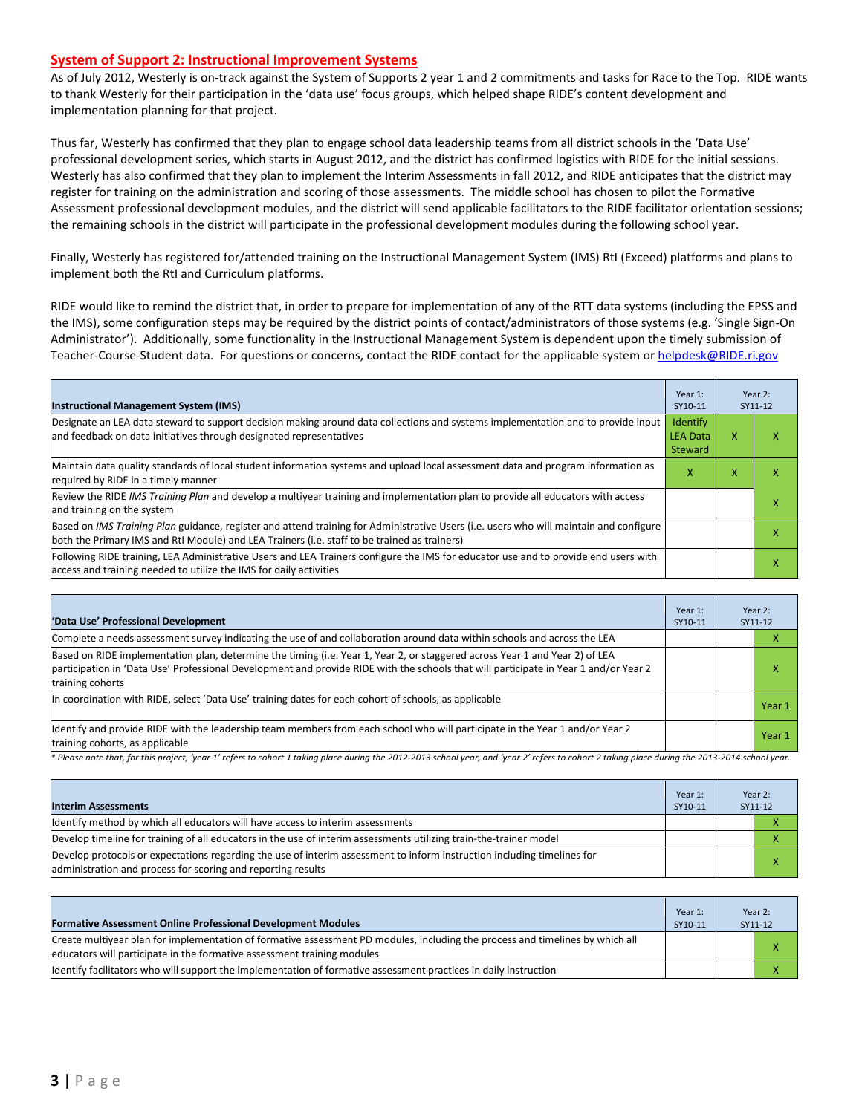#### **System of Support 2: Instructional Improvement Systems**

As of July 2012, Westerly is on-track against the System of Supports 2 year 1 and 2 commitments and tasks for Race to the Top. RIDE wants to thank Westerly for their participation in the 'data use' focus groups, which helped shape RIDE's content development and implementation planning for that project.

Thus far, Westerly has confirmed that they plan to engage school data leadership teams from all district schools in the 'Data Use' professional development series, which starts in August 2012, and the district has confirmed logistics with RIDE for the initial sessions. Westerly has also confirmed that they plan to implement the Interim Assessments in fall 2012, and RIDE anticipates that the district may register for training on the administration and scoring of those assessments. The middle school has chosen to pilot the Formative Assessment professional development modules, and the district will send applicable facilitators to the RIDE facilitator orientation sessions; the remaining schools in the district will participate in the professional development modules during the following school year.

Finally, Westerly has registered for/attended training on the Instructional Management System (IMS) RtI (Exceed) platforms and plans to implement both the RtI and Curriculum platforms.

RIDE would like to remind the district that, in order to prepare for implementation of any of the RTT data systems (including the EPSS and the IMS), some configuration steps may be required by the district points of contact/administrators of those systems (e.g. 'Single Sign-On Administrator'). Additionally, some functionality in the Instructional Management System is dependent upon the timely submission of Teacher-Course-Student data. For questions or concerns, contact the RIDE contact for the applicable system o[r helpdesk@RIDE.ri.gov](mailto:helpdesk@RIDE.ri.gov)

| <b>Instructional Management System (IMS)</b>                                                                                                                                                                                           | Year 1:<br>SY10-11                            |   | Year 2:<br>SY11-12 |
|----------------------------------------------------------------------------------------------------------------------------------------------------------------------------------------------------------------------------------------|-----------------------------------------------|---|--------------------|
| Designate an LEA data steward to support decision making around data collections and systems implementation and to provide input<br>and feedback on data initiatives through designated representatives                                | <b>Identify</b><br><b>LEA Data</b><br>Steward | x |                    |
| Maintain data quality standards of local student information systems and upload local assessment data and program information as<br>required by RIDE in a timely manner                                                                | x                                             | x |                    |
| Review the RIDE IMS Training Plan and develop a multiyear training and implementation plan to provide all educators with access<br>and training on the system                                                                          |                                               |   |                    |
| Based on IMS Training Plan guidance, register and attend training for Administrative Users (i.e. users who will maintain and configure<br>both the Primary IMS and RtI Module) and LEA Trainers (i.e. staff to be trained as trainers) |                                               |   |                    |
| Following RIDE training, LEA Administrative Users and LEA Trainers configure the IMS for educator use and to provide end users with<br>access and training needed to utilize the IMS for daily activities                              |                                               |   |                    |

| 'Data Use' Professional Development                                                                                                                                                                                                                                                     | Year 1:<br>SY10-11 | Year 2:<br>SY11-12 |        |
|-----------------------------------------------------------------------------------------------------------------------------------------------------------------------------------------------------------------------------------------------------------------------------------------|--------------------|--------------------|--------|
| Complete a needs assessment survey indicating the use of and collaboration around data within schools and across the LEA                                                                                                                                                                |                    |                    | ⋏      |
| Based on RIDE implementation plan, determine the timing (i.e. Year 1, Year 2, or staggered across Year 1 and Year 2) of LEA<br>participation in 'Data Use' Professional Development and provide RIDE with the schools that will participate in Year 1 and/or Year 2<br>training cohorts |                    |                    | л      |
| In coordination with RIDE, select 'Data Use' training dates for each cohort of schools, as applicable                                                                                                                                                                                   |                    |                    | Year 1 |
| Identify and provide RIDE with the leadership team members from each school who will participate in the Year 1 and/or Year 2<br>training cohorts, as applicable                                                                                                                         |                    |                    | Year 1 |

*\* Please note that, for this project, 'year 1' refers to cohort 1 taking place during the 2012-2013 school year, and 'year 2' refers to cohort 2 taking place during the 2013-2014 school year.*

| <b>Interim Assessments</b>                                                                                                                                                              | Year 1:<br>SY10-11 | Year 2:<br>SY11-12 |
|-----------------------------------------------------------------------------------------------------------------------------------------------------------------------------------------|--------------------|--------------------|
| Identify method by which all educators will have access to interim assessments                                                                                                          |                    |                    |
| Develop timeline for training of all educators in the use of interim assessments utilizing train-the-trainer model                                                                      |                    |                    |
| Develop protocols or expectations regarding the use of interim assessment to inform instruction including timelines for<br>administration and process for scoring and reporting results |                    |                    |

| <b>Formative Assessment Online Professional Development Modules</b>                                                                                                                                      | Year 1:<br>SY10-11 | Year 2:<br>SY11-12 |
|----------------------------------------------------------------------------------------------------------------------------------------------------------------------------------------------------------|--------------------|--------------------|
| Create multivear plan for implementation of formative assessment PD modules, including the process and timelines by which all<br>educators will participate in the formative assessment training modules |                    |                    |
| Identify facilitators who will support the implementation of formative assessment practices in daily instruction                                                                                         |                    |                    |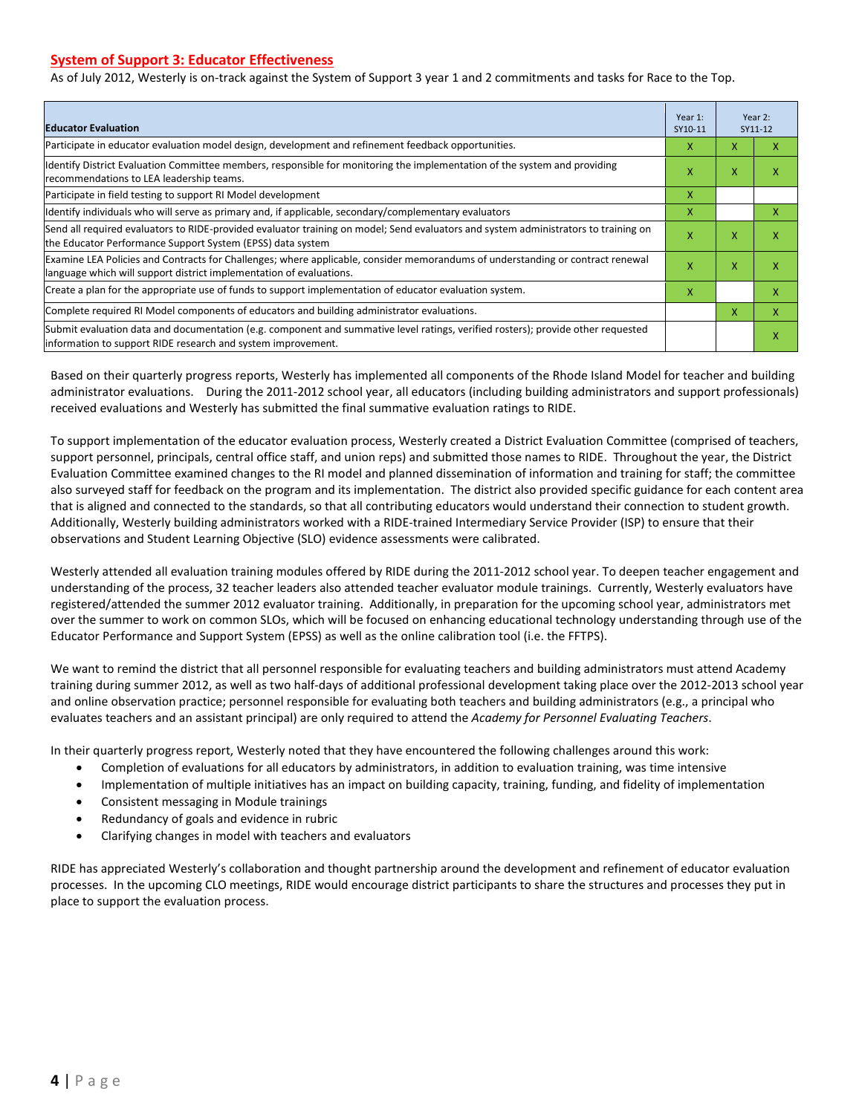#### **System of Support 3: Educator Effectiveness**

As of July 2012, Westerly is on-track against the System of Support 3 year 1 and 2 commitments and tasks for Race to the Top.

| <b>Educator Evaluation</b>                                                                                                                                                                            |   |   | Year 2:<br>SY11-12 |
|-------------------------------------------------------------------------------------------------------------------------------------------------------------------------------------------------------|---|---|--------------------|
| Participate in educator evaluation model design, development and refinement feedback opportunities.                                                                                                   | x | x | x                  |
| Identify District Evaluation Committee members, responsible for monitoring the implementation of the system and providing<br>recommendations to LEA leadership teams.                                 | x |   | x                  |
| Participate in field testing to support RI Model development                                                                                                                                          | X |   |                    |
| Identify individuals who will serve as primary and, if applicable, secondary/complementary evaluators                                                                                                 | X |   | x                  |
| Send all required evaluators to RIDE-provided evaluator training on model; Send evaluators and system administrators to training on<br>the Educator Performance Support System (EPSS) data system     | X | X | X                  |
| Examine LEA Policies and Contracts for Challenges; where applicable, consider memorandums of understanding or contract renewal<br>language which will support district implementation of evaluations. | X | X | X                  |
| Create a plan for the appropriate use of funds to support implementation of educator evaluation system.                                                                                               |   |   | x                  |
| Complete required RI Model components of educators and building administrator evaluations.                                                                                                            |   | X | X                  |
| Submit evaluation data and documentation (e.g. component and summative level ratings, verified rosters); provide other requested<br>linformation to support RIDE research and system improvement.     |   |   | X                  |

Based on their quarterly progress reports, Westerly has implemented all components of the Rhode Island Model for teacher and building administrator evaluations. During the 2011-2012 school year, all educators (including building administrators and support professionals) received evaluations and Westerly has submitted the final summative evaluation ratings to RIDE.

To support implementation of the educator evaluation process, Westerly created a District Evaluation Committee (comprised of teachers, support personnel, principals, central office staff, and union reps) and submitted those names to RIDE. Throughout the year, the District Evaluation Committee examined changes to the RI model and planned dissemination of information and training for staff; the committee also surveyed staff for feedback on the program and its implementation. The district also provided specific guidance for each content area that is aligned and connected to the standards, so that all contributing educators would understand their connection to student growth. Additionally, Westerly building administrators worked with a RIDE-trained Intermediary Service Provider (ISP) to ensure that their observations and Student Learning Objective (SLO) evidence assessments were calibrated.

Westerly attended all evaluation training modules offered by RIDE during the 2011-2012 school year. To deepen teacher engagement and understanding of the process, 32 teacher leaders also attended teacher evaluator module trainings. Currently, Westerly evaluators have registered/attended the summer 2012 evaluator training. Additionally, in preparation for the upcoming school year, administrators met over the summer to work on common SLOs, which will be focused on enhancing educational technology understanding through use of the Educator Performance and Support System (EPSS) as well as the online calibration tool (i.e. the FFTPS).

We want to remind the district that all personnel responsible for evaluating teachers and building administrators must attend Academy training during summer 2012, as well as two half-days of additional professional development taking place over the 2012-2013 school year and online observation practice; personnel responsible for evaluating both teachers and building administrators (e.g., a principal who evaluates teachers and an assistant principal) are only required to attend the *Academy for Personnel Evaluating Teachers*.

In their quarterly progress report, Westerly noted that they have encountered the following challenges around this work:

- Completion of evaluations for all educators by administrators, in addition to evaluation training, was time intensive
- Implementation of multiple initiatives has an impact on building capacity, training, funding, and fidelity of implementation
- Consistent messaging in Module trainings
- Redundancy of goals and evidence in rubric
- Clarifying changes in model with teachers and evaluators

RIDE has appreciated Westerly's collaboration and thought partnership around the development and refinement of educator evaluation processes. In the upcoming CLO meetings, RIDE would encourage district participants to share the structures and processes they put in place to support the evaluation process.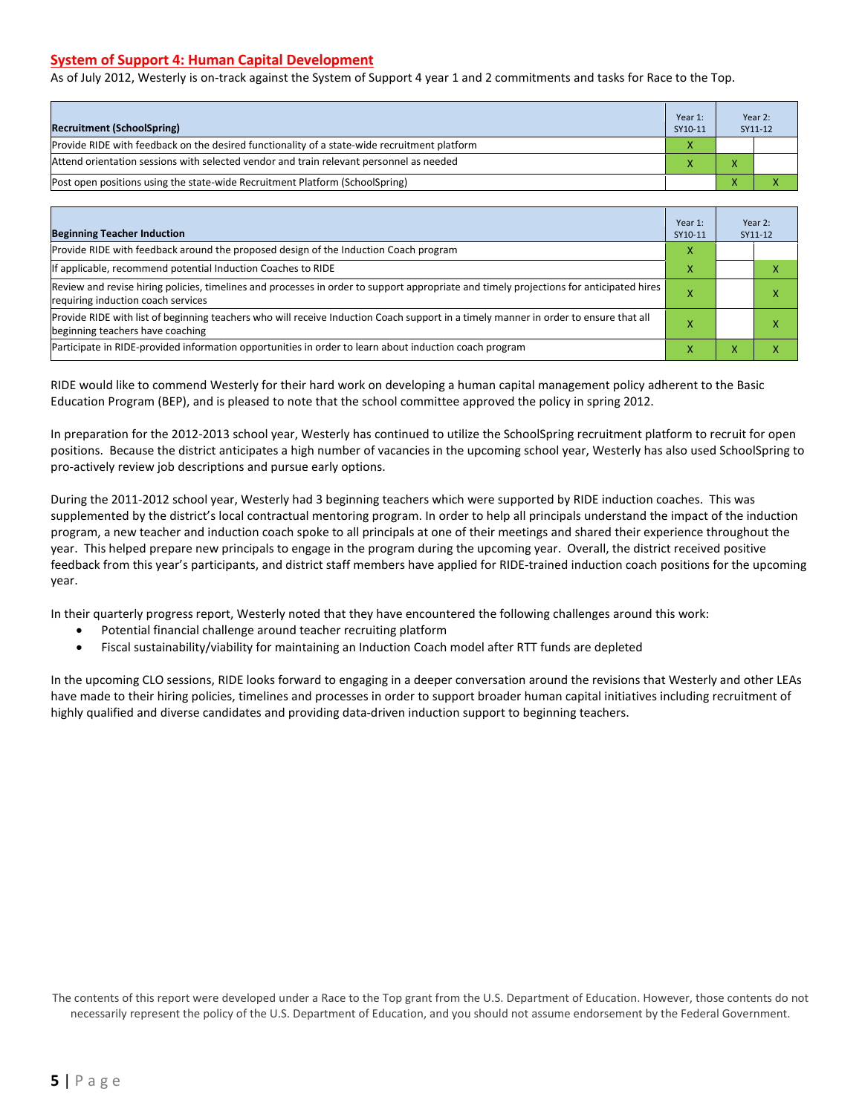#### **System of Support 4: Human Capital Development**

As of July 2012, Westerly is on-track against the System of Support 4 year 1 and 2 commitments and tasks for Race to the Top.

| <b>Recruitment (SchoolSpring)</b>                                                            | Year 1:<br>SY10-11 | Year 2:<br>SY11-12 |
|----------------------------------------------------------------------------------------------|--------------------|--------------------|
| Provide RIDE with feedback on the desired functionality of a state-wide recruitment platform | X                  |                    |
| Attend orientation sessions with selected vendor and train relevant personnel as needed      |                    |                    |
| (Post open positions using the state-wide Recruitment Platform (SchoolSpring)                |                    |                    |

| <b>Beginning Teacher Induction</b>                                                                                                                                            | Year 1:<br>SY10-11 |   | Year 2:<br>SY11-12 |
|-------------------------------------------------------------------------------------------------------------------------------------------------------------------------------|--------------------|---|--------------------|
| Provide RIDE with feedback around the proposed design of the Induction Coach program                                                                                          | х                  |   |                    |
| If applicable, recommend potential Induction Coaches to RIDE                                                                                                                  | х                  |   |                    |
| Review and revise hiring policies, timelines and processes in order to support appropriate and timely projections for anticipated hires<br>requiring induction coach services |                    |   |                    |
| Provide RIDE with list of beginning teachers who will receive Induction Coach support in a timely manner in order to ensure that all<br>beginning teachers have coaching      |                    |   |                    |
| Participate in RIDE-provided information opportunities in order to learn about induction coach program                                                                        |                    | ⋏ |                    |

RIDE would like to commend Westerly for their hard work on developing a human capital management policy adherent to the Basic Education Program (BEP), and is pleased to note that the school committee approved the policy in spring 2012.

In preparation for the 2012-2013 school year, Westerly has continued to utilize the SchoolSpring recruitment platform to recruit for open positions. Because the district anticipates a high number of vacancies in the upcoming school year, Westerly has also used SchoolSpring to pro-actively review job descriptions and pursue early options.

During the 2011-2012 school year, Westerly had 3 beginning teachers which were supported by RIDE induction coaches. This was supplemented by the district's local contractual mentoring program. In order to help all principals understand the impact of the induction program, a new teacher and induction coach spoke to all principals at one of their meetings and shared their experience throughout the year. This helped prepare new principals to engage in the program during the upcoming year. Overall, the district received positive feedback from this year's participants, and district staff members have applied for RIDE-trained induction coach positions for the upcoming year.

In their quarterly progress report, Westerly noted that they have encountered the following challenges around this work:

- Potential financial challenge around teacher recruiting platform
- Fiscal sustainability/viability for maintaining an Induction Coach model after RTT funds are depleted

In the upcoming CLO sessions, RIDE looks forward to engaging in a deeper conversation around the revisions that Westerly and other LEAs have made to their hiring policies, timelines and processes in order to support broader human capital initiatives including recruitment of highly qualified and diverse candidates and providing data-driven induction support to beginning teachers.

The contents of this report were developed under a Race to the Top grant from the U.S. Department of Education. However, those contents do not necessarily represent the policy of the U.S. Department of Education, and you should not assume endorsement by the Federal Government.